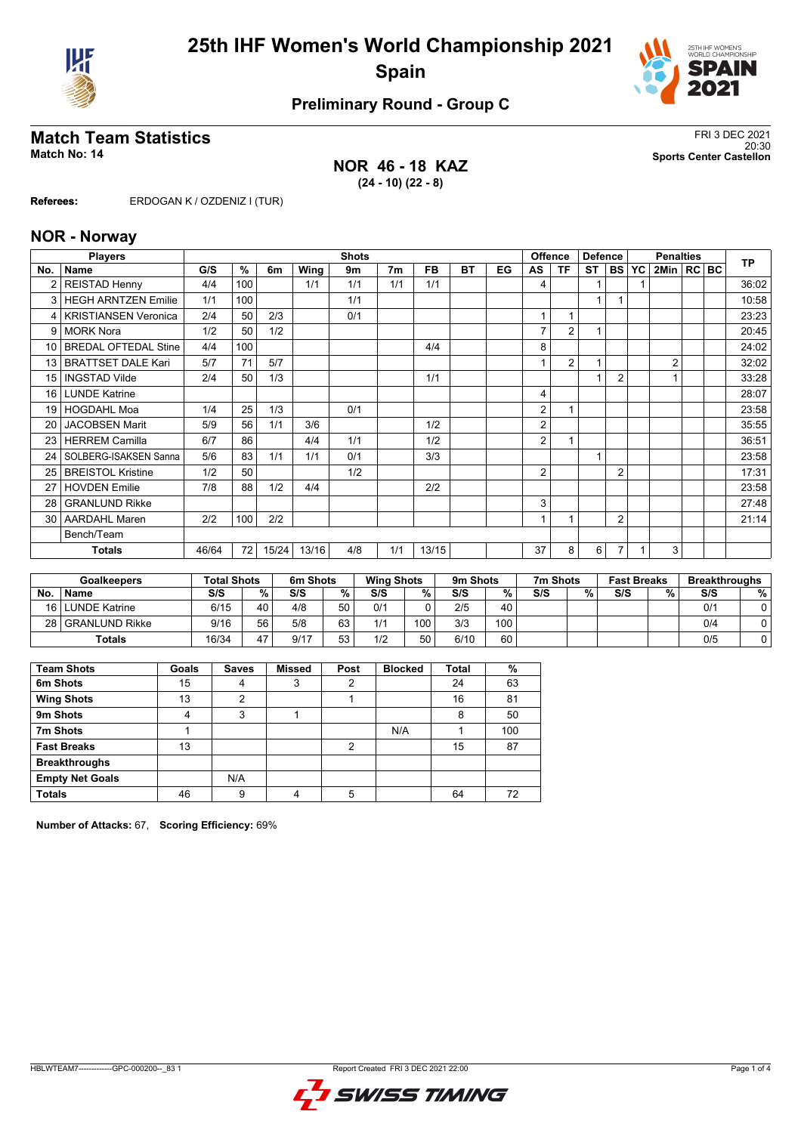



## **Preliminary Round - Group C**

## **Match Team Statistics** FRI 3 DEC 2021

#### **NOR 46 - 18 KAZ (24 - 10) (22 - 8)**

20:30 **Match No: 14 Sports Center Castellon**

**Referees:** ERDOGAN K / OZDENIZ I (TUR)

#### **NOR - Norway**

|                 | <b>Players</b>              | <b>Shots</b> |     |       |       |     |                |       |    | <b>Offence</b><br><b>Defence</b> |                |                |           | <b>TP</b>      |    |                |  |       |
|-----------------|-----------------------------|--------------|-----|-------|-------|-----|----------------|-------|----|----------------------------------|----------------|----------------|-----------|----------------|----|----------------|--|-------|
| No.             | <b>Name</b>                 | G/S          | %   | 6m    | Wing  | 9m  | 7 <sub>m</sub> | FB.   | ВT | EG                               | AS             | ΤF             | <b>ST</b> | <b>BS</b>      | YC | 2Min   RC BC   |  |       |
|                 | <b>REISTAD Henny</b>        | 4/4          | 100 |       | 1/1   | 1/1 | 1/1            | 1/1   |    |                                  | 4              |                |           |                |    |                |  | 36:02 |
| $\mathbf{3}$    | <b>HEGH ARNTZEN Emilie</b>  | 1/1          | 100 |       |       | 1/1 |                |       |    |                                  |                |                | 1         |                |    |                |  | 10:58 |
| 4               | <b>KRISTIANSEN Veronica</b> | 2/4          | 50  | 2/3   |       | 0/1 |                |       |    |                                  |                |                |           |                |    |                |  | 23:23 |
| 9               | <b>MORK Nora</b>            | 1/2          | 50  | 1/2   |       |     |                |       |    |                                  | $\overline{7}$ | $\overline{2}$ | 1         |                |    |                |  | 20:45 |
| 10 <sup>1</sup> | <b>BREDAL OFTEDAL Stine</b> | 4/4          | 100 |       |       |     |                | 4/4   |    |                                  | 8              |                |           |                |    |                |  | 24:02 |
| 13              | <b>BRATTSET DALE Kari</b>   | 5/7          | 71  | 5/7   |       |     |                |       |    |                                  |                | $\overline{2}$ | 1         |                |    | $\overline{2}$ |  | 32:02 |
| 15              | <b>INGSTAD Vilde</b>        | 2/4          | 50  | 1/3   |       |     |                | 1/1   |    |                                  |                |                |           | $\overline{2}$ |    |                |  | 33:28 |
| 16 <sup>1</sup> | <b>LUNDE Katrine</b>        |              |     |       |       |     |                |       |    |                                  | 4              |                |           |                |    |                |  | 28:07 |
| 19              | <b>HOGDAHL Moa</b>          | 1/4          | 25  | 1/3   |       | 0/1 |                |       |    |                                  | 2              |                |           |                |    |                |  | 23:58 |
| 20              | <b>JACOBSEN Marit</b>       | 5/9          | 56  | 1/1   | 3/6   |     |                | 1/2   |    |                                  | 2              |                |           |                |    |                |  | 35:55 |
| 23              | <b>HERREM Camilla</b>       | 6/7          | 86  |       | 4/4   | 1/1 |                | 1/2   |    |                                  | 2              |                |           |                |    |                |  | 36:51 |
| 24              | SOLBERG-ISAKSEN Sanna       | 5/6          | 83  | 1/1   | 1/1   | 0/1 |                | 3/3   |    |                                  |                |                | 1         |                |    |                |  | 23:58 |
| 25              | <b>BREISTOL Kristine</b>    | 1/2          | 50  |       |       | 1/2 |                |       |    |                                  | $\overline{2}$ |                |           | $\overline{2}$ |    |                |  | 17:31 |
| 27              | <b>HOVDEN Emilie</b>        | 7/8          | 88  | 1/2   | 4/4   |     |                | 2/2   |    |                                  |                |                |           |                |    |                |  | 23:58 |
| 28              | <b>GRANLUND Rikke</b>       |              |     |       |       |     |                |       |    |                                  | 3              |                |           |                |    |                |  | 27:48 |
| 30 <sup>1</sup> | <b>AARDAHL Maren</b>        | 2/2          | 100 | 2/2   |       |     |                |       |    |                                  | 1              |                |           | $\overline{2}$ |    |                |  | 21:14 |
|                 | Bench/Team                  |              |     |       |       |     |                |       |    |                                  |                |                |           |                |    |                |  |       |
|                 | <b>Totals</b>               | 46/64        | 72  | 15/24 | 13/16 | 4/8 | 1/1            | 13/15 |    |                                  | 37             | 8              | 6         |                |    | 3              |  |       |

|      | <b>Goalkeepers</b> | <b>Total Shots</b> |    | 6m Shots |          | <b>Wing Shots</b> |     | 9m Shots |     | 7m Shots |   | <b>Fast Breaks</b> |   | <b>Breakthroughs</b> |   |
|------|--------------------|--------------------|----|----------|----------|-------------------|-----|----------|-----|----------|---|--------------------|---|----------------------|---|
| No   | <b>Name</b>        | S/S                | %  | S/S      | %        | S/S               | %   | S/S      | %   | S/S      | % | S/S                | % | S/S                  | % |
|      | 16 LUNDE Katrine   | 6/15               | 40 | 4/8      | 50       | 0/1               |     | 2/5      | 40  |          |   |                    |   | 0/1                  |   |
| 28 I | l GRANLUND Rikke   | 9/16               | 56 | 5/8      | 63       | 1/1               | 100 | 3/3      | 100 |          |   |                    |   | 0/4                  |   |
|      | Totals             | 16/34              | 47 | 9/17     | 53<br>vu | 1/2               | 50  | 6/10     | 60  |          |   |                    |   | 0/5                  |   |

| <b>Team Shots</b>      | Goals | <b>Saves</b>   | <b>Missed</b> | Post | <b>Blocked</b> | <b>Total</b> | %   |
|------------------------|-------|----------------|---------------|------|----------------|--------------|-----|
| 6m Shots               | 15    | 4              | 3             | 2    |                | 24           | 63  |
| <b>Wing Shots</b>      | 13    | $\overline{2}$ |               |      |                | 16           | 81  |
| 9m Shots               | 4     | 3              |               |      |                | 8            | 50  |
| 7m Shots               |       |                |               |      | N/A            |              | 100 |
| <b>Fast Breaks</b>     | 13    |                |               | 2    |                | 15           | 87  |
| <b>Breakthroughs</b>   |       |                |               |      |                |              |     |
| <b>Empty Net Goals</b> |       | N/A            |               |      |                |              |     |
| <b>Totals</b>          | 46    | 9              | 4             | 5    |                | 64           | 72  |

**Number of Attacks:** 67, **Scoring Efficiency:** 69%

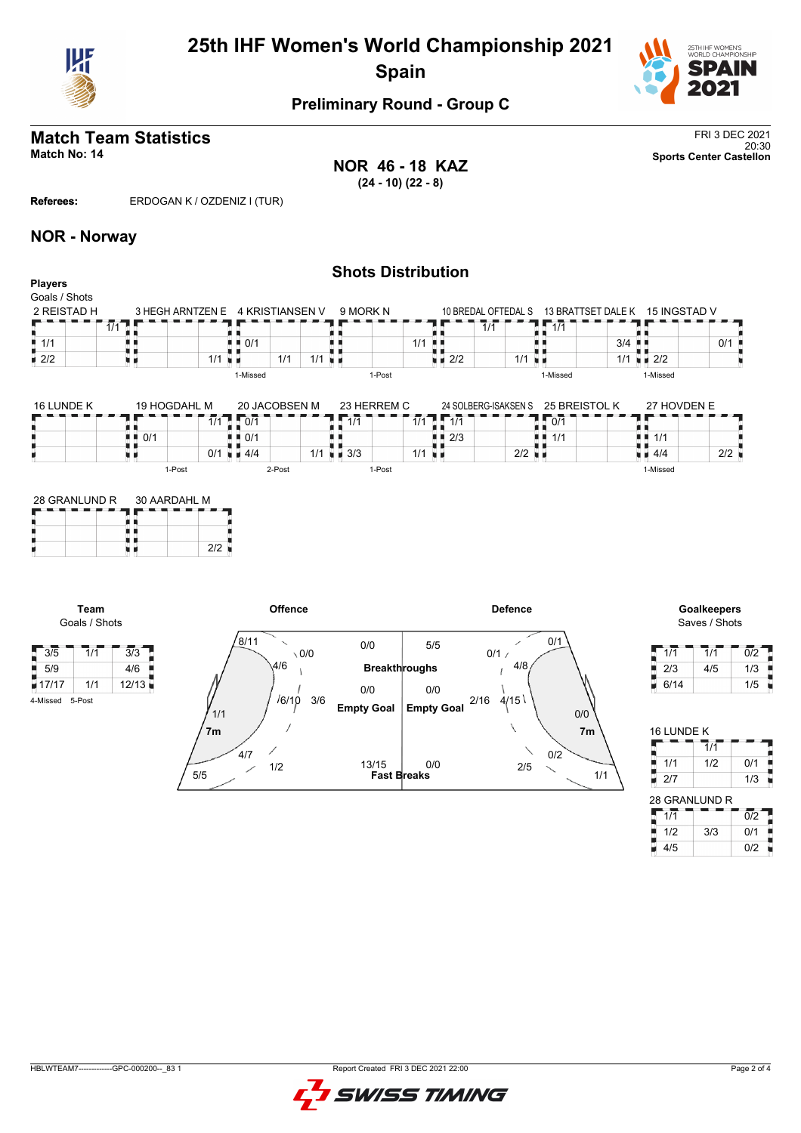



## **Preliminary Round - Group C**

# **Match Team Statistics** FRI 3 DEC 2021<br>
20:30

**NOR 46 - 18 KAZ (24 - 10) (22 - 8)**

20:30 **Match No: 14 Sports Center Castellon**

**Referees:** ERDOGAN K / OZDENIZ I (TUR)

#### **NOR - Norway**

|                                                |                          |                  |                      |                                   |     |                      | <b>Shots Distribution</b> |     |            |     |                      |               |                                 |                            |     |  |
|------------------------------------------------|--------------------------|------------------|----------------------|-----------------------------------|-----|----------------------|---------------------------|-----|------------|-----|----------------------|---------------|---------------------------------|----------------------------|-----|--|
| <b>Players</b><br>Goals / Shots<br>2 REISTAD H |                          | 3 HEGH ARNTZEN E |                      | 4 KRISTIANSEN V                   |     |                      | 9 MORK N                  |     |            |     | 10 BREDAL OFTEDAL S  |               | 13 BRATTSET DALE K 15 INGSTAD V |                            |     |  |
|                                                | $\overline{1/1}$<br>-0.0 |                  |                      |                                   |     |                      |                           |     |            | 1/1 |                      | 1/1           |                                 |                            |     |  |
| $\blacksquare$ 1/1                             |                          |                  |                      | $\blacksquare$ $\blacksquare$ 0/1 |     |                      |                           | 1/1 | . .        |     |                      |               | 3/4                             |                            | 0/1 |  |
| $\blacksquare$ 2/2                             |                          |                  | $1/1$ $\blacksquare$ |                                   | 1/1 | $1/1$ $\blacksquare$ |                           |     | 2/2<br>н н |     | $1/1$ u $\mu$        |               |                                 | $1/1$ $\blacksquare$ $2/2$ |     |  |
|                                                |                          |                  |                      | 1-Missed                          |     |                      | 1-Post                    |     |            |     |                      | 1-Missed      |                                 | 1-Missed                   |     |  |
| 16 LUNDE K                                     |                          | 19 HOGDAHL M     |                      | 20 JACOBSEN M                     |     |                      | 23 HERREM C               |     |            |     | 24 SOLBERG-ISAKSEN S | 25 BREISTOL K |                                 | 27 HOVDEN E                |     |  |
|                                                |                          |                  | 1/1                  | 1.07                              |     |                      | $\overline{1/1}$          | 1/1 | $11 - 1/1$ |     |                      | $\sqrt{107}$  |                                 |                            |     |  |

|    | 1911999/11E11 | <u>LU UI IUULUULII III</u> | <u>LUILINEINIU</u>                       | LT UULDLINU IUI INULITU | LU PREIUTUL IN | 21.1080            |     |
|----|---------------|----------------------------|------------------------------------------|-------------------------|----------------|--------------------|-----|
| -- | 414           | 0/1                        | 1/1<br>$\overline{414}$                  | 414                     | 0/1            |                    | --- |
|    | 0/1<br>i 11   | $\blacksquare$ 0/1         |                                          | $\blacksquare$ 2/3      | ■■ 1/1         | ■ ■ 1/1            |     |
|    | 0/1           | $\blacksquare$ 4/4         | 1/1<br>$\blacksquare$ $\blacksquare$ 3/3 | $2/2$ $\blacksquare$    |                | $\blacksquare$ 4/4 | 2/2 |
|    | 1-Post        | 2-Post                     | 1-Post                                   |                         |                | I-Missed           |     |

| 28 GRANLUND R | 30 AARDAHL M |  |  |  |  |  |  |
|---------------|--------------|--|--|--|--|--|--|
|               |              |  |  |  |  |  |  |
|               | 212          |  |  |  |  |  |  |
|               |              |  |  |  |  |  |  |

**Team** Goals / Shots

4-Missed 5-Post



# Saves / Shots

| 1/1  | 1/1 | 0/2 |  |
|------|-----|-----|--|
| 2/3  | 4/5 | 1/3 |  |
| 6/14 |     | 1/5 |  |

| 16 LUNDE K    |                             |                  |
|---------------|-----------------------------|------------------|
|               | $\overline{1}/\overline{1}$ |                  |
| 1/1<br>j      | 1/2                         | 0/1              |
| 2/7           |                             | 1/3              |
| 28 GRANLUND R |                             |                  |
| 1/1           |                             | $\overline{0/2}$ |
| 1/2           | 3/3                         | 0/1              |
| 4/5           |                             | 0/2              |

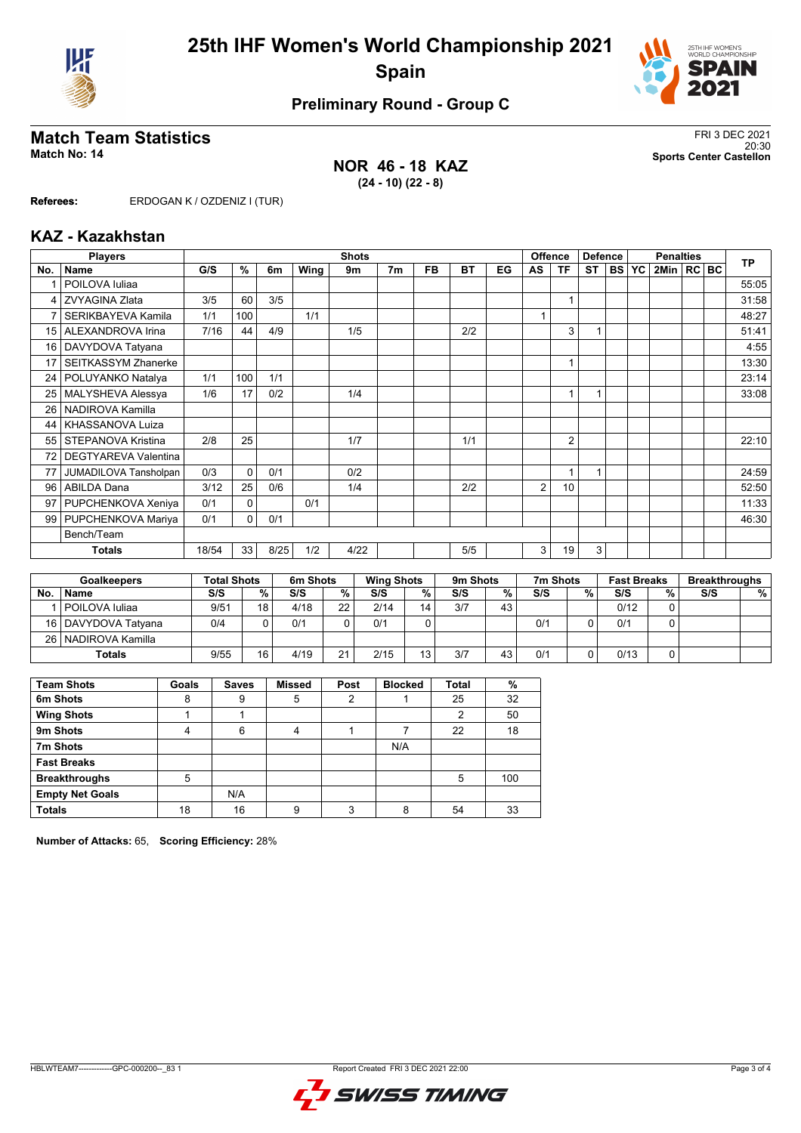



## **Preliminary Round - Group C**

### **Match Team Statistics** FRI 3 DEC 2021

#### **NOR 46 - 18 KAZ (24 - 10) (22 - 8)**

20:30 **Match No: 14 Sports Center Castellon**

**Referees:** ERDOGAN K / OZDENIZ I (TUR)

#### **KAZ - Kazakhstan**

|     | <b>Players</b><br><b>Shots</b> |       |          |      |      |      |    | <b>Offence</b><br><b>Defence</b> |           |    | <b>Penalties</b> |                |           |           | <b>TP</b> |              |  |  |       |
|-----|--------------------------------|-------|----------|------|------|------|----|----------------------------------|-----------|----|------------------|----------------|-----------|-----------|-----------|--------------|--|--|-------|
| No. | Name                           | G/S   | $\%$     | 6m   | Wing | 9m   | 7m | FB                               | <b>BT</b> | EG | AS               | <b>TF</b>      | <b>ST</b> | <b>BS</b> | <b>YC</b> | 2Min   RC BC |  |  |       |
|     | POILOVA Iuliaa                 |       |          |      |      |      |    |                                  |           |    |                  |                |           |           |           |              |  |  | 55:05 |
| 4   | <b>ZVYAGINA Zlata</b>          | 3/5   | 60       | 3/5  |      |      |    |                                  |           |    |                  | 1              |           |           |           |              |  |  | 31:58 |
|     | SERIKBAYEVA Kamila             | 1/1   | 100      |      | 1/1  |      |    |                                  |           |    |                  |                |           |           |           |              |  |  | 48:27 |
| 15  | ALEXANDROVA Irina              | 7/16  | 44       | 4/9  |      | 1/5  |    |                                  | 2/2       |    |                  | 3              |           |           |           |              |  |  | 51:41 |
| 16  | DAVYDOVA Tatyana               |       |          |      |      |      |    |                                  |           |    |                  |                |           |           |           |              |  |  | 4:55  |
| 17  | <b>SEITKASSYM Zhanerke</b>     |       |          |      |      |      |    |                                  |           |    |                  | $\mathbf{1}$   |           |           |           |              |  |  | 13:30 |
| 24  | POLUYANKO Natalya              | 1/1   | 100      | 1/1  |      |      |    |                                  |           |    |                  |                |           |           |           |              |  |  | 23:14 |
| 25  | MALYSHEVA Alessya              | 1/6   | 17       | 0/2  |      | 1/4  |    |                                  |           |    |                  | 1              |           |           |           |              |  |  | 33:08 |
| 26  | NADIROVA Kamilla               |       |          |      |      |      |    |                                  |           |    |                  |                |           |           |           |              |  |  |       |
| 44  | KHASSANOVA Luiza               |       |          |      |      |      |    |                                  |           |    |                  |                |           |           |           |              |  |  |       |
| 55  | STEPANOVA Kristina             | 2/8   | 25       |      |      | 1/7  |    |                                  | 1/1       |    |                  | $\overline{2}$ |           |           |           |              |  |  | 22:10 |
| 72  | <b>DEGTYAREVA Valentina</b>    |       |          |      |      |      |    |                                  |           |    |                  |                |           |           |           |              |  |  |       |
| 77  | JUMADILOVA Tansholpan          | 0/3   | $\Omega$ | 0/1  |      | 0/2  |    |                                  |           |    |                  | 1              | 1         |           |           |              |  |  | 24:59 |
| 96  | <b>ABILDA Dana</b>             | 3/12  | 25       | 0/6  |      | 1/4  |    |                                  | 2/2       |    | $\overline{2}$   | 10             |           |           |           |              |  |  | 52:50 |
| 97  | PUPCHENKOVA Xeniya             | 0/1   | $\Omega$ |      | 0/1  |      |    |                                  |           |    |                  |                |           |           |           |              |  |  | 11:33 |
| 99  | PUPCHENKOVA Mariya             | 0/1   | 0        | 0/1  |      |      |    |                                  |           |    |                  |                |           |           |           |              |  |  | 46:30 |
|     | Bench/Team                     |       |          |      |      |      |    |                                  |           |    |                  |                |           |           |           |              |  |  |       |
|     | <b>Totals</b>                  | 18/54 | 33       | 8/25 | 1/2  | 4/22 |    |                                  | 5/5       |    | 3                | 19             | 3         |           |           |              |  |  |       |

|           | <b>Goalkeepers</b>    | <b>Total Shots</b> |    | 6m Shots |    | <b>Wing Shots</b> |                 | 9 <sub>m</sub> Shots |    | 7m Shots |   | <b>Fast Breaks</b> |   | <b>Breakthroughs</b> |   |
|-----------|-----------------------|--------------------|----|----------|----|-------------------|-----------------|----------------------|----|----------|---|--------------------|---|----------------------|---|
| <b>No</b> | <b>Name</b>           | S/S                | %  | S/S      | %  | S/S               | %               | S/S                  | %  | S/S      | % | S/S                | % | S/S                  | % |
|           | POILOVA Iuliaa        | 9/51               | 18 | 4/18     | 22 | 2/14              | 14              | 3/7                  | 43 |          |   | 0/12               |   |                      |   |
|           | 16   DAVYDOVA Tatvana | 0/4                |    | 0/1      |    | 0/1               |                 |                      |    | 0/1      |   | 0/1                |   |                      |   |
|           | 26   NADIROVA Kamilla |                    |    |          |    |                   |                 |                      |    |          |   |                    |   |                      |   |
|           | <b>Totals</b>         | 9/55               | 16 | 4/19     | 21 | 2/15              | 13 <sub>1</sub> | 3/7                  | 43 | 0/1      | 0 | 0/13               |   |                      |   |

| <b>Team Shots</b>      | Goals | <b>Saves</b> | <b>Missed</b> | Post    | <b>Blocked</b> | <b>Total</b> | %   |
|------------------------|-------|--------------|---------------|---------|----------------|--------------|-----|
| 6m Shots               | 8     | 9            | 5             | 2       |                | 25           | 32  |
| <b>Wing Shots</b>      |       |              |               |         |                | 2            | 50  |
| 9m Shots               | 4     | 6            | 4             |         |                | 22           | 18  |
| 7m Shots               |       |              |               |         | N/A            |              |     |
| <b>Fast Breaks</b>     |       |              |               |         |                |              |     |
| <b>Breakthroughs</b>   | 5     |              |               |         |                | 5            | 100 |
| <b>Empty Net Goals</b> |       | N/A          |               |         |                |              |     |
| <b>Totals</b>          | 18    | 16           | 9             | ົ<br>د٠ | 8              | 54           | 33  |

**Number of Attacks:** 65, **Scoring Efficiency:** 28%